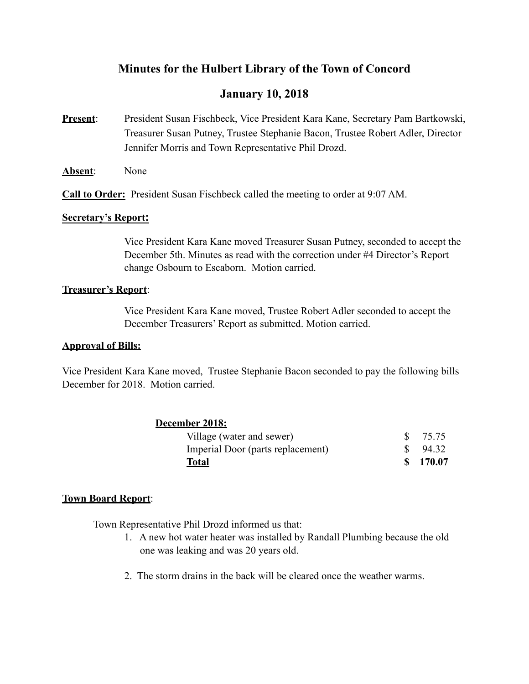# **Minutes for the Hulbert Library of the Town of Concord**

# **January 10, 2018**

- **Present**: President Susan Fischbeck, Vice President Kara Kane, Secretary Pam Bartkowski, Treasurer Susan Putney, Trustee Stephanie Bacon, Trustee Robert Adler, Director Jennifer Morris and Town Representative Phil Drozd.
- **Absent**: None

**Call to Order:** President Susan Fischbeck called the meeting to order at 9:07 AM.

#### **Secretary's Report:**

Vice President Kara Kane moved Treasurer Susan Putney, seconded to accept the December 5th. Minutes as read with the correction under #4 Director's Report change Osbourn to Escaborn. Motion carried.

## **Treasurer's Report**:

 Vice President Kara Kane moved, Trustee Robert Adler seconded to accept the December Treasurers' Report as submitted. Motion carried.

### **Approval of Bills:**

Vice President Kara Kane moved, Trustee Stephanie Bacon seconded to pay the following bills December for 2018. Motion carried.

| December 2018:                    |          |
|-----------------------------------|----------|
| Village (water and sewer)         | \$ 75.75 |
| Imperial Door (parts replacement) | 94.32    |
| Total                             | \$170.07 |

# **Town Board Report**:

Town Representative Phil Drozd informed us that:

- 1. A new hot water heater was installed by Randall Plumbing because the old one was leaking and was 20 years old.
- 2. The storm drains in the back will be cleared once the weather warms.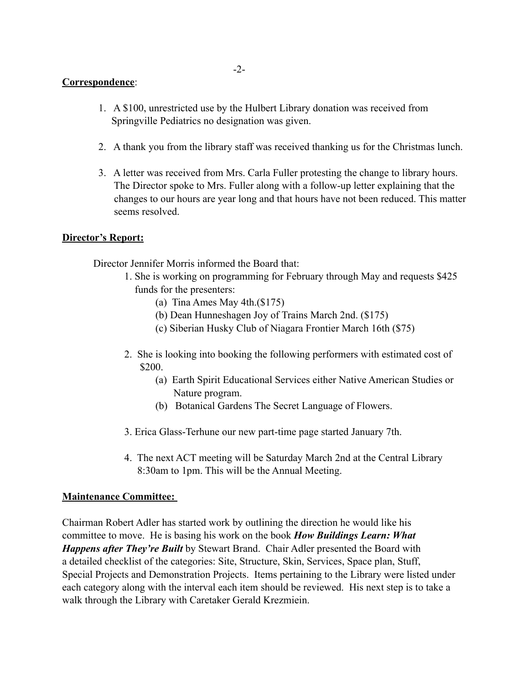## **Correspondence**:

- 1. A \$100, unrestricted use by the Hulbert Library donation was received from Springville Pediatrics no designation was given.
- 2. A thank you from the library staff was received thanking us for the Christmas lunch.
- 3. A letter was received from Mrs. Carla Fuller protesting the change to library hours. The Director spoke to Mrs. Fuller along with a follow-up letter explaining that the changes to our hours are year long and that hours have not been reduced. This matter seems resolved.

## **Director's Report:**

Director Jennifer Morris informed the Board that:

- 1. She is working on programming for February through May and requests \$425 funds for the presenters:
	- (a) Tina Ames May 4th.(\$175)
	- (b) Dean Hunneshagen Joy of Trains March 2nd. (\$175)
	- (c) Siberian Husky Club of Niagara Frontier March 16th (\$75)
- 2. She is looking into booking the following performers with estimated cost of \$200.
	- (a) Earth Spirit Educational Services either Native American Studies or Nature program.
	- (b) Botanical Gardens The Secret Language of Flowers.
- 3. Erica Glass-Terhune our new part-time page started January 7th.
- 4. The next ACT meeting will be Saturday March 2nd at the Central Library 8:30am to 1pm. This will be the Annual Meeting.

# **Maintenance Committee:**

Chairman Robert Adler has started work by outlining the direction he would like his committee to move. He is basing his work on the book *How Buildings Learn: What Happens after They're Built* by Stewart Brand. Chair Adler presented the Board with a detailed checklist of the categories: Site, Structure, Skin, Services, Space plan, Stuff, Special Projects and Demonstration Projects. Items pertaining to the Library were listed under each category along with the interval each item should be reviewed. His next step is to take a walk through the Library with Caretaker Gerald Krezmiein.